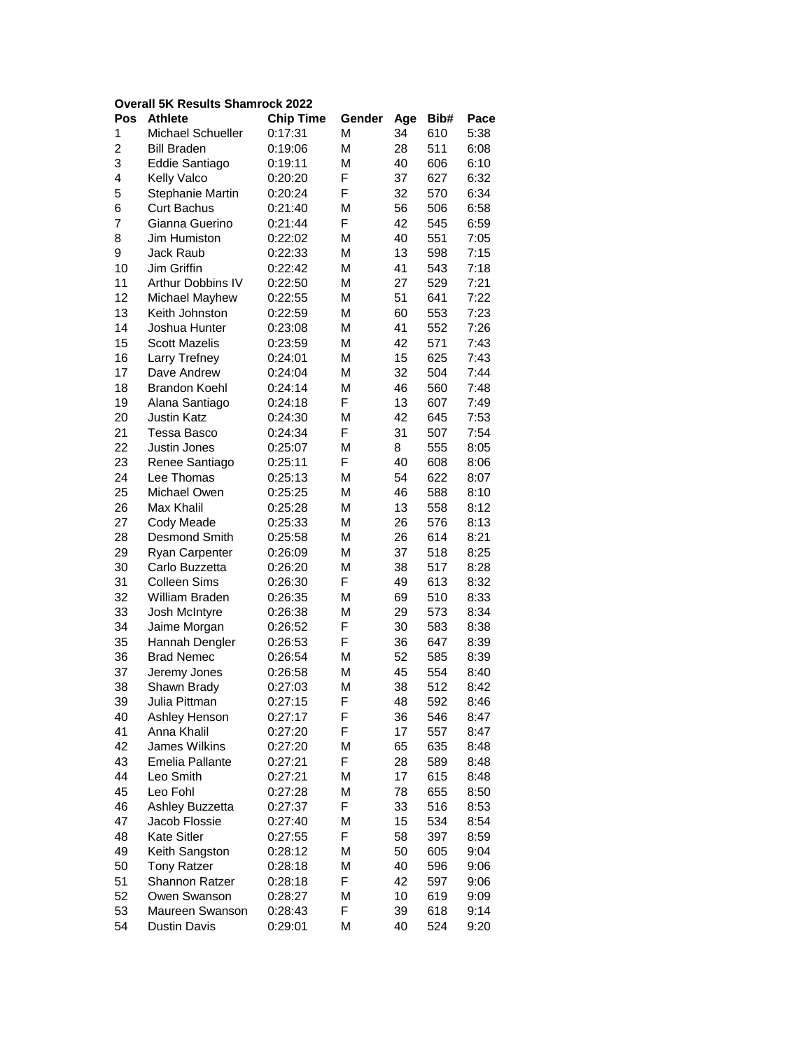## **Overall 5K Results Shamrock 2022**

| Pos | <b>Athlete</b>           | <b>Chip Time</b> | Gender | Age | Bib#       | Pace |
|-----|--------------------------|------------------|--------|-----|------------|------|
| 1   | Michael Schueller        | 0:17:31          | M      | 34  | 610        | 5:38 |
| 2   | <b>Bill Braden</b>       | 0:19:06          | М      | 28  | 511        | 6:08 |
| 3   | Eddie Santiago           | 0:19:11          | М      | 40  | 606        | 6:10 |
| 4   | Kelly Valco              | 0:20:20          | F      | 37  | 627        | 6:32 |
| 5   | Stephanie Martin         | 0:20:24          | F      | 32  | 570        | 6:34 |
| 6   | <b>Curt Bachus</b>       | 0:21:40          | M      | 56  | 506        | 6:58 |
| 7   | Gianna Guerino           | 0:21:44          | F      | 42  | 545        | 6:59 |
| 8   | Jim Humiston             | 0:22:02          | M      | 40  | 551        | 7:05 |
| 9   | Jack Raub                | 0:22:33          | M      | 13  | 598        | 7:15 |
| 10  | Jim Griffin              | 0:22:42          | М      | 41  | 543        | 7:18 |
| 11  | <b>Arthur Dobbins IV</b> | 0:22:50          | M      | 27  | 529        | 7:21 |
| 12  | Michael Mayhew           | 0:22:55          | М      | 51  | 641        | 7:22 |
| 13  | Keith Johnston           | 0:22:59          | М      | 60  | 553        | 7:23 |
| 14  | Joshua Hunter            | 0:23:08          | М      | 41  | 552        | 7:26 |
| 15  | <b>Scott Mazelis</b>     | 0:23:59          | М      | 42  | 571        | 7:43 |
| 16  | Larry Trefney            | 0:24:01          | M      | 15  | 625        | 7:43 |
| 17  | Dave Andrew              | 0:24:04          | M      | 32  | 504        | 7:44 |
| 18  | <b>Brandon Koehl</b>     | 0:24:14          | M      | 46  | 560        | 7:48 |
| 19  | Alana Santiago           | 0:24:18          | F      | 13  | 607        | 7:49 |
| 20  | <b>Justin Katz</b>       | 0:24:30          | М      | 42  | 645        | 7:53 |
| 21  |                          | 0:24:34          | F      |     |            |      |
|     | Tessa Basco              |                  |        | 31  | 507<br>555 | 7:54 |
| 22  | Justin Jones             | 0:25:07          | M      | 8   |            | 8:05 |
| 23  | Renee Santiago           | 0:25:11          | F      | 40  | 608        | 8:06 |
| 24  | Lee Thomas               | 0:25:13          | M      | 54  | 622        | 8:07 |
| 25  | Michael Owen             | 0:25:25          | M      | 46  | 588        | 8:10 |
| 26  | Max Khalil               | 0:25:28          | M      | 13  | 558        | 8:12 |
| 27  | Cody Meade               | 0:25:33          | М      | 26  | 576        | 8:13 |
| 28  | Desmond Smith            | 0:25:58          | М      | 26  | 614        | 8:21 |
| 29  | Ryan Carpenter           | 0:26:09          | М      | 37  | 518        | 8:25 |
| 30  | Carlo Buzzetta           | 0:26:20          | M      | 38  | 517        | 8:28 |
| 31  | <b>Colleen Sims</b>      | 0:26:30          | F      | 49  | 613        | 8:32 |
| 32  | William Braden           | 0:26:35          | М      | 69  | 510        | 8:33 |
| 33  | Josh McIntyre            | 0:26:38          | M      | 29  | 573        | 8:34 |
| 34  | Jaime Morgan             | 0:26:52          | F      | 30  | 583        | 8:38 |
| 35  | Hannah Dengler           | 0:26:53          | F      | 36  | 647        | 8:39 |
| 36  | <b>Brad Nemec</b>        | 0:26:54          | М      | 52  | 585        | 8:39 |
| 37  | Jeremy Jones             | 0:26:58          | M      | 45  | 554        | 8:40 |
| 38  | Shawn Brady              | 0:27:03          | M      | 38  | 512        | 8:42 |
| 39  | Julia Pittman            | 0:27:15          | F      | 48  | 592        | 8:46 |
| 40  | Ashley Henson            | 0:27:17          | F      | 36  | 546        | 8:47 |
| 41  | Anna Khalil              | 0:27:20          | F      | 17  | 557        | 8:47 |
| 42  | James Wilkins            | 0:27:20          | M      | 65  | 635        | 8:48 |
| 43  | <b>Emelia Pallante</b>   | 0:27:21          | F      | 28  | 589        | 8:48 |
| 44  | Leo Smith                | 0:27:21          | M      | 17  | 615        | 8:48 |
| 45  | Leo Fohl                 | 0:27:28          | M      | 78  | 655        | 8:50 |
| 46  | Ashley Buzzetta          | 0:27:37          | F      | 33  | 516        | 8:53 |
| 47  | Jacob Flossie            | 0:27:40          | Μ      | 15  | 534        | 8:54 |
| 48  | <b>Kate Sitler</b>       | 0:27:55          | F      | 58  | 397        | 8:59 |
| 49  | Keith Sangston           | 0:28:12          | Μ      | 50  | 605        | 9:04 |
| 50  | <b>Tony Ratzer</b>       | 0:28:18          | M      | 40  | 596        | 9:06 |
| 51  | Shannon Ratzer           | 0:28:18          | F      | 42  | 597        | 9:06 |
| 52  | Owen Swanson             | 0:28:27          | Μ      | 10  | 619        | 9:09 |
| 53  | Maureen Swanson          | 0:28:43          | F      | 39  | 618        | 9:14 |
| 54  | Dustin Davis             | 0:29:01          | Μ      | 40  | 524        | 9:20 |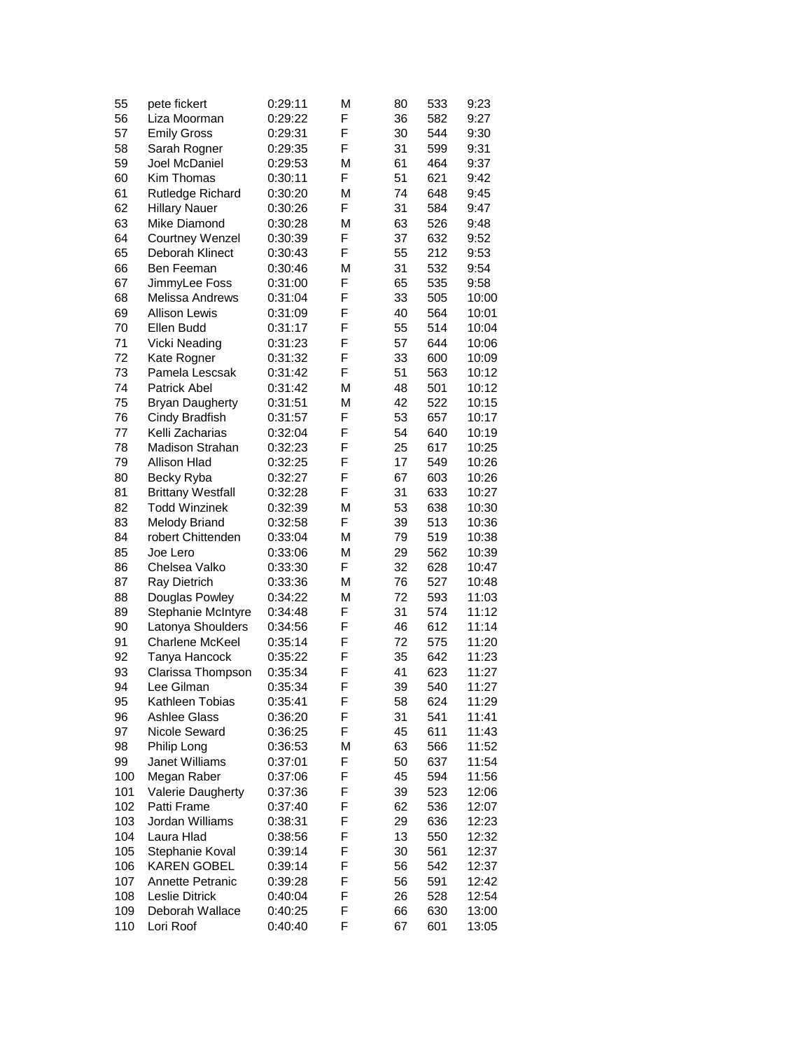| 55  | pete fickert             | 0:29:11            | M      | 80 | 533 | 9:23  |
|-----|--------------------------|--------------------|--------|----|-----|-------|
| 56  | Liza Moorman             | 0:29:22            | F      | 36 | 582 | 9:27  |
| 57  | <b>Emily Gross</b>       | 0:29:31            | F      | 30 | 544 | 9:30  |
| 58  | Sarah Rogner             | 0:29:35            | F      | 31 | 599 | 9:31  |
| 59  | Joel McDaniel            | 0:29:53            | М      | 61 | 464 | 9:37  |
| 60  | Kim Thomas               | 0:30:11            | F      | 51 | 621 | 9:42  |
| 61  | Rutledge Richard         | 0:30:20            | M      | 74 | 648 | 9:45  |
| 62  | <b>Hillary Nauer</b>     | 0:30:26            | F      | 31 | 584 | 9:47  |
| 63  | Mike Diamond             | 0:30:28            | M      | 63 | 526 | 9:48  |
| 64  | <b>Courtney Wenzel</b>   | 0:30:39            | F      | 37 | 632 | 9:52  |
| 65  | Deborah Klinect          | 0:30:43            | F      | 55 | 212 | 9:53  |
| 66  | Ben Feeman               | 0:30:46            | M      | 31 | 532 | 9:54  |
| 67  | JimmyLee Foss            | 0:31:00            | F      | 65 | 535 | 9:58  |
| 68  | Melissa Andrews          | 0:31:04            | F      | 33 | 505 | 10:00 |
| 69  | <b>Allison Lewis</b>     | 0:31:09            | F      | 40 | 564 | 10:01 |
| 70  | Ellen Budd               | 0:31:17            | F      | 55 | 514 | 10:04 |
| 71  | Vicki Neading            | 0:31:23            | F      | 57 | 644 | 10:06 |
| 72  | Kate Rogner              | 0:31:32            | F      | 33 | 600 | 10:09 |
| 73  | Pamela Lescsak           | 0:31:42            | F      | 51 | 563 | 10:12 |
| 74  | Patrick Abel             |                    | M      | 48 | 501 | 10:12 |
| 75  | <b>Bryan Daugherty</b>   | 0:31:42<br>0:31:51 | M      | 42 | 522 | 10:15 |
|     |                          |                    | F      |    |     |       |
| 76  | Cindy Bradfish           | 0:31:57            | F      | 53 | 657 | 10:17 |
| 77  | Kelli Zacharias          | 0:32:04            |        | 54 | 640 | 10:19 |
| 78  | Madison Strahan          | 0:32:23            | F<br>F | 25 | 617 | 10:25 |
| 79  | Allison Hlad             | 0:32:25            |        | 17 | 549 | 10:26 |
| 80  | Becky Ryba               | 0:32:27            | F      | 67 | 603 | 10:26 |
| 81  | <b>Brittany Westfall</b> | 0:32:28            | F      | 31 | 633 | 10:27 |
| 82  | <b>Todd Winzinek</b>     | 0:32:39            | M      | 53 | 638 | 10:30 |
| 83  | <b>Melody Briand</b>     | 0:32:58            | F      | 39 | 513 | 10:36 |
| 84  | robert Chittenden        | 0:33:04            | M      | 79 | 519 | 10:38 |
| 85  | Joe Lero                 | 0:33:06            | M      | 29 | 562 | 10:39 |
| 86  | Chelsea Valko            | 0:33:30            | F      | 32 | 628 | 10:47 |
| 87  | Ray Dietrich             | 0:33:36            | M      | 76 | 527 | 10:48 |
| 88  | Douglas Powley           | 0:34:22            | M      | 72 | 593 | 11:03 |
| 89  | Stephanie McIntyre       | 0:34:48            | F      | 31 | 574 | 11:12 |
| 90  | Latonya Shoulders        | 0:34:56            | F      | 46 | 612 | 11:14 |
| 91  | Charlene McKeel          | 0:35:14            | F      | 72 | 575 | 11:20 |
| 92  | Tanya Hancock            | 0:35:22            | F      | 35 | 642 | 11:23 |
| 93  | Clarissa Thompson        | 0:35:34            | F      | 41 | 623 | 11:27 |
| 94  | Lee Gilman               | 0:35:34            | F      | 39 | 540 | 11:27 |
| 95  | Kathleen Tobias          | 0:35:41            | F      | 58 | 624 | 11:29 |
| 96  | <b>Ashlee Glass</b>      | 0:36:20            | F      | 31 | 541 | 11:41 |
| 97  | Nicole Seward            | 0:36:25            | F      | 45 | 611 | 11:43 |
| 98  | Philip Long              | 0:36:53            | M      | 63 | 566 | 11:52 |
| 99  | Janet Williams           | 0:37:01            | F      | 50 | 637 | 11:54 |
| 100 | Megan Raber              | 0:37:06            | F      | 45 | 594 | 11:56 |
| 101 | Valerie Daugherty        | 0:37:36            | F      | 39 | 523 | 12:06 |
| 102 | Patti Frame              | 0:37:40            | F      | 62 | 536 | 12:07 |
| 103 | Jordan Williams          | 0:38:31            | F      | 29 | 636 | 12:23 |
| 104 | Laura Hlad               | 0:38:56            | F      | 13 | 550 | 12:32 |
| 105 | Stephanie Koval          | 0:39:14            | F      | 30 | 561 | 12:37 |
| 106 | <b>KAREN GOBEL</b>       | 0:39:14            | F      | 56 | 542 | 12:37 |
| 107 | Annette Petranic         | 0:39:28            | F      | 56 | 591 | 12:42 |
| 108 | Leslie Ditrick           | 0:40:04            | F      | 26 | 528 | 12:54 |
| 109 | Deborah Wallace          | 0:40:25            | F      | 66 | 630 | 13:00 |
| 110 | Lori Roof                | 0:40:40            | F      | 67 | 601 | 13:05 |
|     |                          |                    |        |    |     |       |